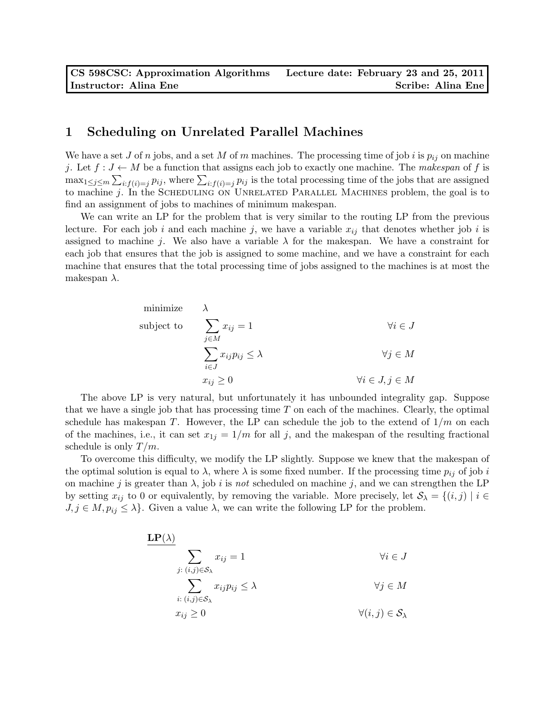## 1 Scheduling on Unrelated Parallel Machines

We have a set J of n jobs, and a set M of m machines. The processing time of job i is  $p_{ij}$  on machine j. Let  $f: J \leftarrow M$  be a function that assigns each job to exactly one machine. The makespan of f is  $\max_{1 \leq j \leq m} \sum_{i: f(i)=j} p_{ij}$ , where  $\sum_{i: f(i)=j} p_{ij}$  is the total processing time of the jobs that are assigned to machine j. In the SCHEDULING ON UNRELATED PARALLEL MACHINES problem, the goal is to find an assignment of jobs to machines of minimum makespan.

We can write an LP for the problem that is very similar to the routing LP from the previous lecture. For each job i and each machine j, we have a variable  $x_{ij}$  that denotes whether job i is assigned to machine j. We also have a variable  $\lambda$  for the makespan. We have a constraint for each job that ensures that the job is assigned to some machine, and we have a constraint for each machine that ensures that the total processing time of jobs assigned to the machines is at most the makespan  $\lambda$ .

minimize 
$$
\lambda
$$
  
\nsubject to 
$$
\sum_{j \in M} x_{ij} = 1 \qquad \forall i \in J
$$
\n
$$
\sum_{i \in J} x_{ij} p_{ij} \le \lambda \qquad \forall j \in M
$$
\n
$$
x_{ij} \ge 0 \qquad \forall i \in J, j \in M
$$

The above LP is very natural, but unfortunately it has unbounded integrality gap. Suppose that we have a single job that has processing time  $T$  on each of the machines. Clearly, the optimal schedule has makespan T. However, the LP can schedule the job to the extend of  $1/m$  on each of the machines, i.e., it can set  $x_{1j} = 1/m$  for all j, and the makespan of the resulting fractional schedule is only  $T/m$ .

To overcome this difficulty, we modify the LP slightly. Suppose we knew that the makespan of the optimal solution is equal to  $\lambda$ , where  $\lambda$  is some fixed number. If the processing time  $p_{ij}$  of job is on machine j is greater than  $\lambda$ , job i is not scheduled on machine j, and we can strengthen the LP by setting  $x_{ij}$  to 0 or equivalently, by removing the variable. More precisely, let  $S_\lambda = \{(i,j) | i \in$  $J, j \in M, p_{ij} \leq \lambda$ . Given a value  $\lambda$ , we can write the following LP for the problem.

$$
\mathbf{LP}(\lambda)
$$
\n
$$
\sum_{j:(i,j)\in\mathcal{S}_{\lambda}} x_{ij} = 1 \qquad \forall i \in J
$$
\n
$$
\sum_{i:(i,j)\in\mathcal{S}_{\lambda}} x_{ij} p_{ij} \le \lambda \qquad \forall j \in M
$$
\n
$$
x_{ij} \ge 0 \qquad \forall (i,j) \in \mathcal{S}_{\lambda}
$$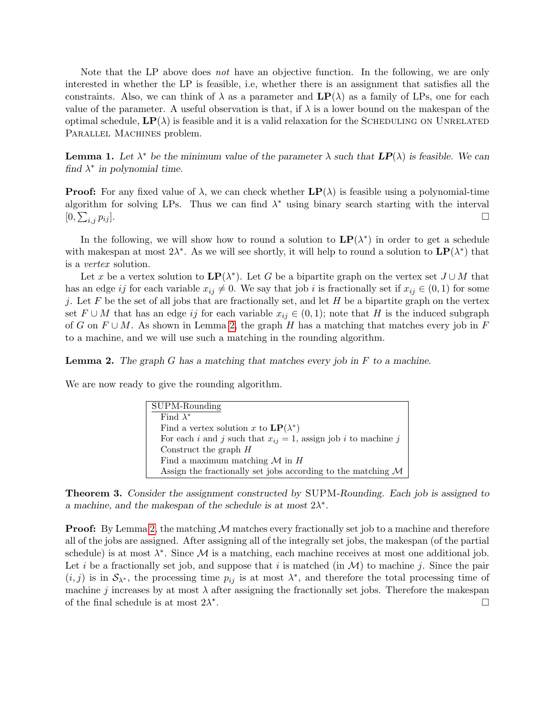Note that the LP above does not have an objective function. In the following, we are only interested in whether the LP is feasible, i.e, whether there is an assignment that satisfies all the constraints. Also, we can think of  $\lambda$  as a parameter and  $\mathbf{LP}(\lambda)$  as a family of LPs, one for each value of the parameter. A useful observation is that, if  $\lambda$  is a lower bound on the makespan of the optimal schedule,  $\mathbf{LP}(\lambda)$  is feasible and it is a valid relaxation for the SCHEDULING ON UNRELATED PARALLEL MACHINES problem.

**Lemma 1.** Let  $\lambda^*$  be the minimum value of the parameter  $\lambda$  such that  $LP(\lambda)$  is feasible. We can find  $\lambda^*$  in polynomial time.

**Proof:** For any fixed value of  $\lambda$ , we can check whether  $\mathbf{LP}(\lambda)$  is feasible using a polynomial-time algorithm for solving LPs. Thus we can find  $\lambda^*$  using binary search starting with the interval  $[0,\sum$  $_{i,j}$   $p_{ij}$ ].

In the following, we will show how to round a solution to  $\mathbf{LP}(\lambda^*)$  in order to get a schedule with makespan at most  $2\lambda^*$ . As we will see shortly, it will help to round a solution to  $\mathbf{LP}(\lambda^*)$  that is a vertex solution.

Let x be a vertex solution to  $\mathbf{LP}(\lambda^*)$ . Let G be a bipartite graph on the vertex set  $J \cup M$  that has an edge ij for each variable  $x_{ij} \neq 0$ . We say that job i is fractionally set if  $x_{ij} \in (0, 1)$  for some j. Let F be the set of all jobs that are fractionally set, and let H be a bipartite graph on the vertex set  $F \cup M$  that has an edge ij for each variable  $x_{ij} \in (0,1)$ ; note that H is the induced subgraph of G on  $F \cup M$ . As shown in Lemma [2,](#page-1-0) the graph H has a matching that matches every job in F to a machine, and we will use such a matching in the rounding algorithm.

<span id="page-1-0"></span>**Lemma 2.** The graph G has a matching that matches every job in  $F$  to a machine.

We are now ready to give the rounding algorithm.

| SUPM-Rounding                                                           |
|-------------------------------------------------------------------------|
| Find $\lambda^*$                                                        |
| Find a vertex solution x to $\mathbf{LP}(\lambda^*)$                    |
| For each i and j such that $x_{ij} = 1$ , assign job i to machine j     |
| Construct the graph $H$                                                 |
| Find a maximum matching $M$ in $H$                                      |
| Assign the fractionally set jobs according to the matching $\mathcal M$ |

<span id="page-1-1"></span>Theorem 3. Consider the assignment constructed by SUPM-Rounding. Each job is assigned to a machine, and the makespan of the schedule is at most  $2\lambda^*$ .

**Proof:** By Lemma [2,](#page-1-0) the matching  $M$  matches every fractionally set job to a machine and therefore all of the jobs are assigned. After assigning all of the integrally set jobs, the makespan (of the partial schedule) is at most  $\lambda^*$ . Since M is a matching, each machine receives at most one additional job. Let i be a fractionally set job, and suppose that i is matched (in  $\mathcal{M}$ ) to machine j. Since the pair  $(i, j)$  is in  $S_{\lambda^*}$ , the processing time  $p_{ij}$  is at most  $\lambda^*$ , and therefore the total processing time of machine j increases by at most  $\lambda$  after assigning the fractionally set jobs. Therefore the makespan of the final schedule is at most  $2\lambda^*$ .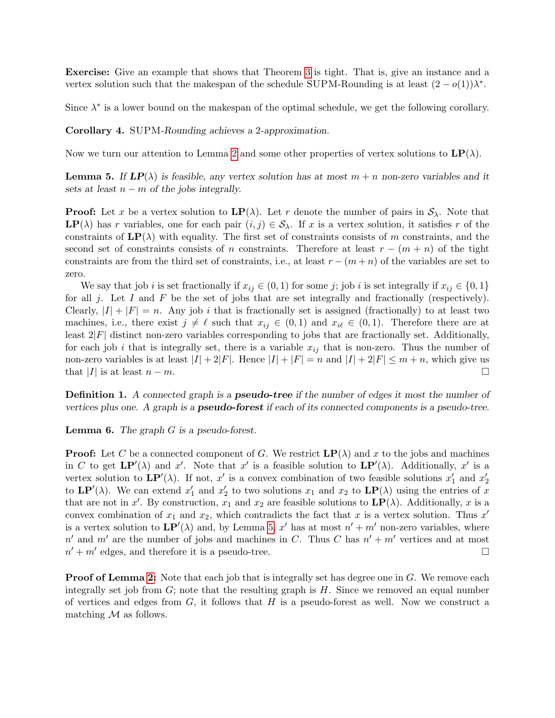Exercise: Give an example that shows that Theorem [3](#page-1-1) is tight. That is, give an instance and a vertex solution such that the makespan of the schedule SUPM-Rounding is at least  $(2 - o(1))\lambda^*$ .

Since  $\lambda^*$  is a lower bound on the makespan of the optimal schedule, we get the following corollary.

Corollary 4. SUPM-Rounding achieves a 2-approximation.

<span id="page-2-0"></span>Now we turn our attention to Lemma [2](#page-1-0) and some other properties of vertex solutions to  $\mathbf{LP}(\lambda)$ .

**Lemma 5.** If  $LP(\lambda)$  is feasible, any vertex solution has at most  $m + n$  non-zero variables and it sets at least  $n - m$  of the jobs integrally.

**Proof:** Let x be a vertex solution to  $\text{LP}(\lambda)$ . Let r denote the number of pairs in  $S_\lambda$ . Note that **LP**( $\lambda$ ) has r variables, one for each pair  $(i, j) \in S_\lambda$ . If x is a vertex solution, it satisfies r of the constraints of  $\mathbf{LP}(\lambda)$  with equality. The first set of constraints consists of m constraints, and the second set of constraints consists of n constraints. Therefore at least  $r - (m + n)$  of the tight constraints are from the third set of constraints, i.e., at least  $r - (m + n)$  of the variables are set to zero.

We say that job i is set fractionally if  $x_{ij} \in (0,1)$  for some j; job i is set integrally if  $x_{ij} \in \{0,1\}$ for all j. Let I and F be the set of jobs that are set integrally and fractionally (respectively). Clearly,  $|I| + |F| = n$ . Any job i that is fractionally set is assigned (fractionally) to at least two machines, i.e., there exist  $j \neq \ell$  such that  $x_{ij} \in (0,1)$  and  $x_{i\ell} \in (0,1)$ . Therefore there are at least  $2|F|$  distinct non-zero variables corresponding to jobs that are fractionally set. Additionally, for each job i that is integrally set, there is a variable  $x_{ij}$  that is non-zero. Thus the number of non-zero variables is at least  $|I| + 2|F|$ . Hence  $|I| + |F| = n$  and  $|I| + 2|F| \le m + n$ , which give us that |I| is at least  $n - m$ .

**Definition 1.** A connected graph is a **pseudo-tree** if the number of edges it most the number of vertices plus one. A graph is a **pseudo-forest** if each of its connected components is a pseudo-tree.

**Lemma 6.** The graph  $G$  is a pseudo-forest.

**Proof:** Let C be a connected component of G. We restrict  $\mathbf{LP}(\lambda)$  and x to the jobs and machines in C to get  $\mathbf{LP}'(\lambda)$  and x'. Note that x' is a feasible solution to  $\mathbf{LP}'(\lambda)$ . Additionally, x' is a vertex solution to  $\mathbf{LP}'(\lambda)$ . If not, x' is a convex combination of two feasible solutions  $x'_1$  and  $x'_2$ to  $\mathbf{LP}'(\lambda)$ . We can extend  $x'_1$  and  $x'_2$  to two solutions  $x_1$  and  $x_2$  to  $\mathbf{LP}(\lambda)$  using the entries of x that are not in x'. By construction,  $x_1$  and  $x_2$  are feasible solutions to  $\mathbf{LP}(\lambda)$ . Additionally, x is a convex combination of  $x_1$  and  $x_2$ , which contradicts the fact that x is a vertex solution. Thus  $x'$ is a vertex solution to  $\mathbf{LP}'(\lambda)$  and, by Lemma [5,](#page-2-0) x' has at most  $n' + m'$  non-zero variables, where  $n'$  and  $m'$  are the number of jobs and machines in C. Thus C has  $n' + m'$  vertices and at most  $n' + m'$  edges, and therefore it is a pseudo-tree.

**Proof of Lemma [2:](#page-1-0)** Note that each job that is integrally set has degree one in  $G$ . We remove each integrally set job from  $G$ ; note that the resulting graph is  $H$ . Since we removed an equal number of vertices and edges from  $G$ , it follows that  $H$  is a pseudo-forest as well. Now we construct a matching  $M$  as follows.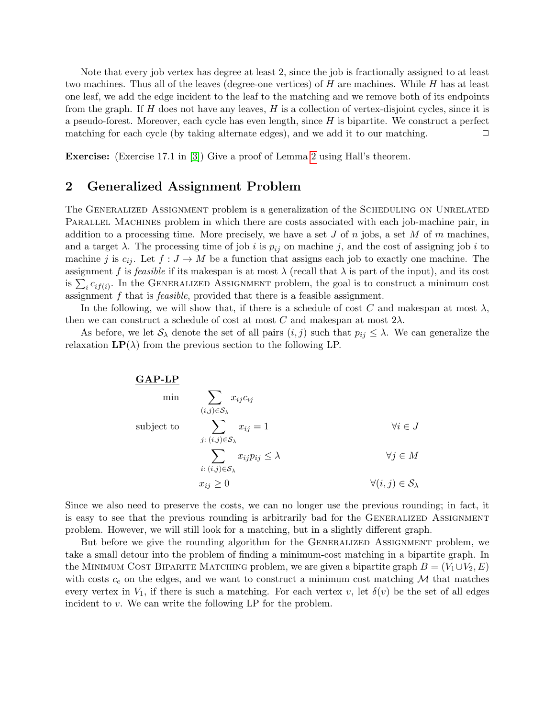Note that every job vertex has degree at least 2, since the job is fractionally assigned to at least two machines. Thus all of the leaves (degree-one vertices) of  $H$  are machines. While  $H$  has at least one leaf, we add the edge incident to the leaf to the matching and we remove both of its endpoints from the graph. If  $H$  does not have any leaves,  $H$  is a collection of vertex-disjoint cycles, since it is a pseudo-forest. Moreover, each cycle has even length, since  $H$  is bipartite. We construct a perfect matching for each cycle (by taking alternate edges), and we add it to our matching.  $\Box$ 

Exercise: (Exercise 17.1 in [\[3\]](#page-7-0)) Give a proof of Lemma [2](#page-1-0) using Hall's theorem.

## 2 Generalized Assignment Problem

The GENERALIZED ASSIGNMENT problem is a generalization of the SCHEDULING ON UNRELATED PARALLEL MACHINES problem in which there are costs associated with each job-machine pair, in addition to a processing time. More precisely, we have a set J of  $n$  jobs, a set M of  $m$  machines, and a target  $\lambda$ . The processing time of job i is  $p_{ij}$  on machine j, and the cost of assigning job i to machine j is  $c_{ij}$ . Let  $f: J \to M$  be a function that assigns each job to exactly one machine. The assignment f is feasible if its makespan is at most  $\lambda$  (recall that  $\lambda$  is part of the input), and its cost is  $\sum_i c_{if(i)}$ . In the GENERALIZED ASSIGNMENT problem, the goal is to construct a minimum cost assignment f that is feasible, provided that there is a feasible assignment.

In the following, we will show that, if there is a schedule of cost C and makespan at most  $\lambda$ , then we can construct a schedule of cost at most C and makespan at most  $2\lambda$ .

As before, we let  $S_\lambda$  denote the set of all pairs  $(i, j)$  such that  $p_{ij} \leq \lambda$ . We can generalize the relaxation  $\mathbf{LP}(\lambda)$  from the previous section to the following LP.



Since we also need to preserve the costs, we can no longer use the previous rounding; in fact, it is easy to see that the previous rounding is arbitrarily bad for the GENERALIZED ASSIGNMENT problem. However, we will still look for a matching, but in a slightly different graph.

But before we give the rounding algorithm for the GENERALIZED ASSIGNMENT problem, we take a small detour into the problem of finding a minimum-cost matching in a bipartite graph. In the MINIMUM COST BIPARITE MATCHING problem, we are given a bipartite graph  $B = (V_1 \cup V_2, E)$ with costs  $c_e$  on the edges, and we want to construct a minimum cost matching  $M$  that matches every vertex in  $V_1$ , if there is such a matching. For each vertex v, let  $\delta(v)$  be the set of all edges incident to v. We can write the following LP for the problem.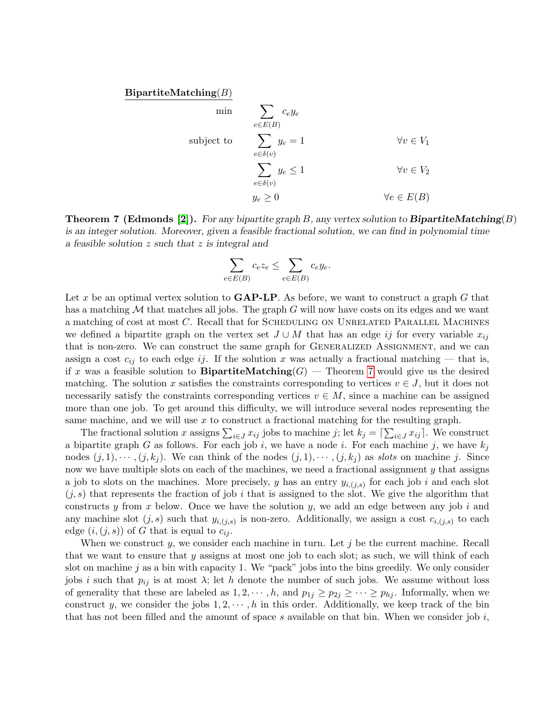$BipartiteMatching(B)$ 

min  
\n
$$
\sum_{e \in E(B)} c_e y_e
$$
\nsubject to  
\n
$$
\sum_{e \in \delta(v)} y_e = 1
$$
\n
$$
\sum_{e \in \delta(v)} y_e \le 1
$$
\n
$$
\forall v \in V_1
$$
\n
$$
\forall v \in V_2
$$
\n
$$
y_e \ge 0
$$
\n
$$
\forall e \in E(B)
$$

<span id="page-4-0"></span>**Theorem 7 (Edmonds [\[2\]](#page-7-1)).** For any bipartite graph B, any vertex solution to **BipartiteMatching** $(B)$ is an integer solution. Moreover, given a feasible fractional solution, we can find in polynomial time a feasible solution z such that z is integral and

$$
\sum_{e \in E(B)} c_e z_e \le \sum_{e \in E(B)} c_e y_e.
$$

Let x be an optimal vertex solution to  $\mathbf{GAP-LP}$ . As before, we want to construct a graph G that has a matching  $M$  that matches all jobs. The graph  $G$  will now have costs on its edges and we want a matching of cost at most C. Recall that for SCHEDULING ON UNRELATED PARALLEL MACHINES we defined a bipartite graph on the vertex set  $J \cup M$  that has an edge ij for every variable  $x_{ij}$ that is non-zero. We can construct the same graph for GENERALIZED ASSIGNMENT, and we can assign a cost  $c_{ij}$  to each edge ij. If the solution x was actually a fractional matching — that is, if x was a feasible solution to **BipartiteMatching**  $(G)$  — Theorem [7](#page-4-0) would give us the desired matching. The solution x satisfies the constraints corresponding to vertices  $v \in J$ , but it does not necessarily satisfy the constraints corresponding vertices  $v \in M$ , since a machine can be assigned more than one job. To get around this difficulty, we will introduce several nodes representing the same machine, and we will use  $x$  to construct a fractional matching for the resulting graph.

The fractional solution x assigns  $\sum_{i\in J} x_{ij}$  jobs to machine j; let  $k_j = \lceil \sum_{i\in J} x_{ij} \rceil$ . We construct a bipartite graph G as follows. For each job i, we have a node i. For each machine j, we have  $k_j$ nodes  $(j, 1), \dots, (j, k_j)$ . We can think of the nodes  $(j, 1), \dots, (j, k_j)$  as slots on machine j. Since now we have multiple slots on each of the machines, we need a fractional assignment y that assigns a job to slots on the machines. More precisely, y has an entry  $y_{i,(j,s)}$  for each job i and each slot  $(j, s)$  that represents the fraction of job i that is assigned to the slot. We give the algorithm that constructs y from x below. Once we have the solution y, we add an edge between any job i and any machine slot  $(j, s)$  such that  $y_{i,(j,s)}$  is non-zero. Additionally, we assign a cost  $c_{i,(j,s)}$  to each edge  $(i,(j,s))$  of G that is equal to  $c_{ij}$ .

When we construct y, we consider each machine in turn. Let  $j$  be the current machine. Recall that we want to ensure that y assigns at most one job to each slot; as such, we will think of each slot on machine  $j$  as a bin with capacity 1. We "pack" jobs into the bins greedily. We only consider jobs i such that  $p_{ij}$  is at most  $\lambda$ ; let h denote the number of such jobs. We assume without loss of generality that these are labeled as  $1, 2, \dots, h$ , and  $p_{1j} \geq p_{2j} \geq \dots \geq p_{hj}$ . Informally, when we construct y, we consider the jobs  $1, 2, \dots, h$  in this order. Additionally, we keep track of the bin that has not been filled and the amount of space s available on that bin. When we consider job  $i$ ,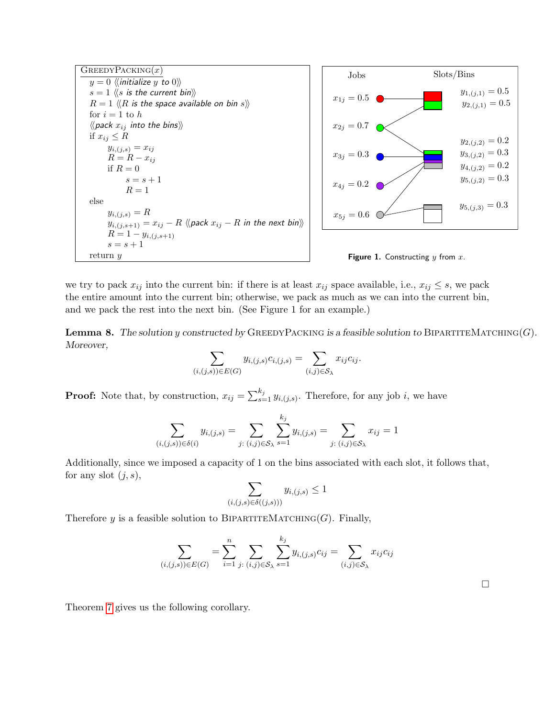





we try to pack  $x_{ij}$  into the current bin: if there is at least  $x_{ij}$  space available, i.e.,  $x_{ij} \leq s$ , we pack the entire amount into the current bin; otherwise, we pack as much as we can into the current bin, and we pack the rest into the next bin. (See Figure 1 for an example.)

**Lemma 8.** The solution y constructed by GREEDYPACKING is a feasible solution to BIPARTITEMATCHING(G). Moreover,

$$
\sum_{(i,(j,s)) \in E(G)} y_{i,(j,s)} c_{i,(j,s)} = \sum_{(i,j) \in S_{\lambda}} x_{ij} c_{ij}.
$$

**Proof:** Note that, by construction,  $x_{ij} = \sum_{s=1}^{k_j} y_{i,(j,s)}$ . Therefore, for any job i, we have

$$
\sum_{(i,(j,s))\in\delta(i)} y_{i,(j,s)} = \sum_{j:(i,j)\in\mathcal{S}_{\lambda}} \sum_{s=1}^{k_j} y_{i,(j,s)} = \sum_{j:(i,j)\in\mathcal{S}_{\lambda}} x_{ij} = 1
$$

Additionally, since we imposed a capacity of 1 on the bins associated with each slot, it follows that, for any slot  $(j, s)$ ,

$$
\sum_{(i,(j,s)\in\delta((j,s)))} y_{i,(j,s)} \le 1
$$

Therefore y is a feasible solution to BIPARTITEMATCHING(G). Finally,

$$
\sum_{(i,(j,s)) \in E(G)} = \sum_{i=1}^{n} \sum_{j:(i,j) \in S_{\lambda}} \sum_{s=1}^{k_j} y_{i,(j,s)} c_{ij} = \sum_{(i,j) \in S_{\lambda}} x_{ij} c_{ij}
$$

 $\Box$ 

<span id="page-5-0"></span>Theorem [7](#page-4-0) gives us the following corollary.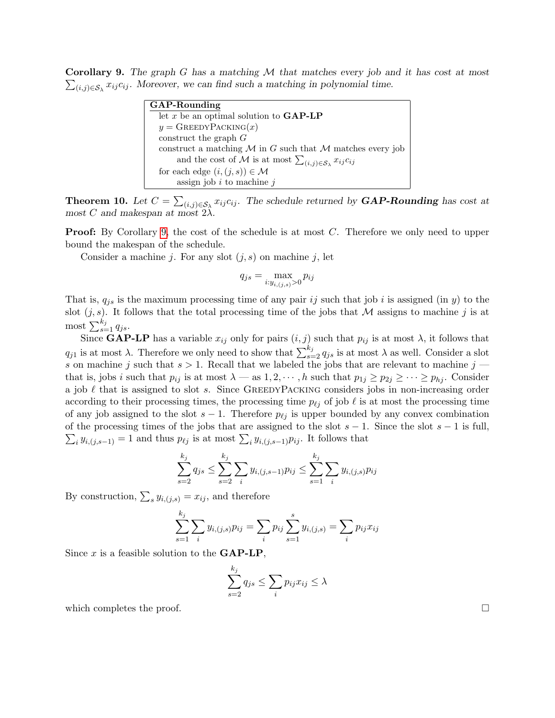**Corollary 9.** The graph  $G$  has a matching  $M$  that matches every job and it has cost at most  $\sum_{(i,j)\in\mathcal{S}_{\lambda}} x_{ij}c_{ij}$ . Moreover, we can find such a matching in polynomial time.

| GAP-Rounding                                                                     |
|----------------------------------------------------------------------------------|
| let x be an optimal solution to $\mathbf{GAP\text{-}LP}$                         |
| $y =$ GREEDYPACKING $(x)$                                                        |
| construct the graph $G$                                                          |
| construct a matching $M$ in G such that $M$ matches every job                    |
| and the cost of M is at most $\sum_{(i,j)\in\mathcal{S}_{\lambda}} x_{ij}c_{ij}$ |
| for each edge $(i, (j, s)) \in \mathcal{M}$                                      |
| assign job $i$ to machine $j$                                                    |

**Theorem 10.** Let  $C = \sum_{(i,j) \in S_{\lambda}} x_{ij} c_{ij}$ . The schedule returned by **GAP-Rounding** has cost at most C and makespan at most  $2\lambda$ .

**Proof:** By Corollary [9,](#page-5-0) the cost of the schedule is at most C. Therefore we only need to upper bound the makespan of the schedule.

Consider a machine j. For any slot  $(j, s)$  on machine j, let

$$
q_{js} = \max_{i:y_{i,(j,s)}>0} p_{ij}
$$

That is,  $q_{is}$  is the maximum processing time of any pair ij such that job i is assigned (in y) to the slot  $(j, s)$ . It follows that the total processing time of the jobs that M assigns to machine j is at most  $\sum_{s=1}^{k_j} q_{js}$ .

Since **GAP-LP** has a variable  $x_{ij}$  only for pairs  $(i, j)$  such that  $p_{ij}$  is at most  $\lambda$ , it follows that  $q_{j1}$  is at most  $\lambda$ . Therefore we only need to show that  $\sum_{s=2}^{k_j} q_{js}$  is at most  $\lambda$  as well. Consider a slot s on machine j such that  $s > 1$ . Recall that we labeled the jobs that are relevant to machine j that is, jobs i such that  $p_{ij}$  is at most  $\lambda$  — as  $1, 2, \dots, h$  such that  $p_{1j} \geq p_{2j} \geq \dots \geq p_{hj}$ . Consider a job  $\ell$  that is assigned to slot s. Since GREEDYPACKING considers jobs in non-increasing order according to their processing times, the processing time  $p_{\ell j}$  of job  $\ell$  is at most the processing time of any job assigned to the slot  $s - 1$ . Therefore  $p_{\ell j}$  is upper bounded by any convex combination  $\sum_i y_{i,(j,s-1)} = 1$  and thus  $p_{\ell j}$  is at most  $\sum_i y_{i,(j,s-1)} p_{ij}$ . It follows that of the processing times of the jobs that are assigned to the slot  $s - 1$ . Since the slot  $s - 1$  is full,

$$
\sum_{s=2}^{k_j} q_{js} \le \sum_{s=2}^{k_j} \sum_i y_{i,(j,s-1)} p_{ij} \le \sum_{s=1}^{k_j} \sum_i y_{i,(j,s)} p_{ij}
$$

By construction,  $\sum_s y_{i,(j,s)} = x_{ij}$ , and therefore

$$
\sum_{s=1}^{k_j} \sum_i y_{i,(j,s)} p_{ij} = \sum_i p_{ij} \sum_{s=1}^s y_{i,(j,s)} = \sum_i p_{ij} x_{ij}
$$

Since  $x$  is a feasible solution to the  $\mathbf{GAP-LP}$ ,

$$
\sum_{s=2}^{k_j} q_{js} \le \sum_i p_{ij} x_{ij} \le \lambda
$$

which completes the proof.